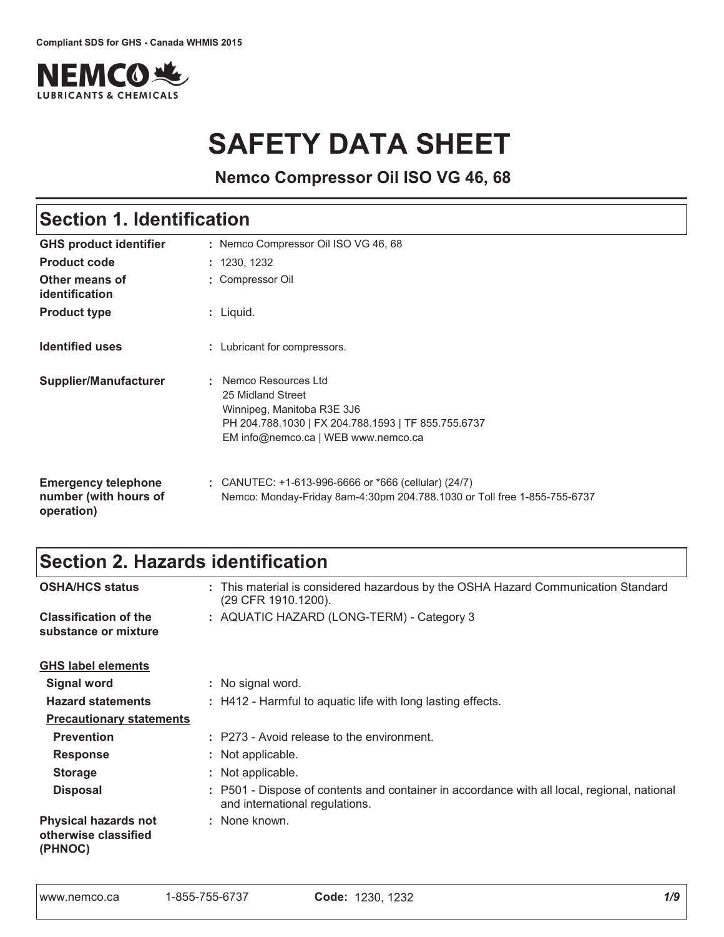

# **SAFETY DATA SHEET**

**Nemco Compressor Oil ISO VG 46, 68**

## Section 1. Identification

| <b>GHS product identifier</b>                                     | : Nemco Compressor Oil ISO VG 46, 68                                                                                                                                 |
|-------------------------------------------------------------------|----------------------------------------------------------------------------------------------------------------------------------------------------------------------|
| <b>Product code</b>                                               | : 1230, 1232                                                                                                                                                         |
| Other means of<br>identification                                  | : Compressor Oil                                                                                                                                                     |
| <b>Product type</b>                                               | $:$ Liquid.                                                                                                                                                          |
| <b>Identified uses</b>                                            | : Lubricant for compressors.                                                                                                                                         |
| Supplier/Manufacturer                                             | Nemco Resources Ltd<br>25 Midland Street<br>Winnipeg, Manitoba R3E 3J6<br>PH 204.788.1030   FX 204.788.1593   TF 855.755.6737<br>EM info@nemco.ca   WEB www.nemco.ca |
| <b>Emergency telephone</b><br>number (with hours of<br>operation) | : CANUTEC: $+1-613-996-6666$ or $*666$ (cellular) (24/7)<br>Nemco: Monday-Friday 8am-4:30pm 204.788.1030 or Toll free 1-855-755-6737                                 |

### Section 2. Hazards identification

| <b>OSHA/HCS status</b>                                         | : This material is considered hazardous by the OSHA Hazard Communication Standard<br>(29 CFR 1910.1200).                      |
|----------------------------------------------------------------|-------------------------------------------------------------------------------------------------------------------------------|
| <b>Classification of the</b><br>substance or mixture           | : AQUATIC HAZARD (LONG-TERM) - Category 3                                                                                     |
| <b>GHS label elements</b>                                      |                                                                                                                               |
| <b>Signal word</b>                                             | : No signal word.                                                                                                             |
| <b>Hazard statements</b>                                       | : H412 - Harmful to aquatic life with long lasting effects.                                                                   |
| <b>Precautionary statements</b>                                |                                                                                                                               |
| <b>Prevention</b>                                              | : P273 - Avoid release to the environment.                                                                                    |
| <b>Response</b>                                                | : Not applicable.                                                                                                             |
| <b>Storage</b>                                                 | : Not applicable.                                                                                                             |
| <b>Disposal</b>                                                | : P501 - Dispose of contents and container in accordance with all local, regional, national<br>and international regulations. |
| <b>Physical hazards not</b><br>otherwise classified<br>(PHNOC) | : None known.                                                                                                                 |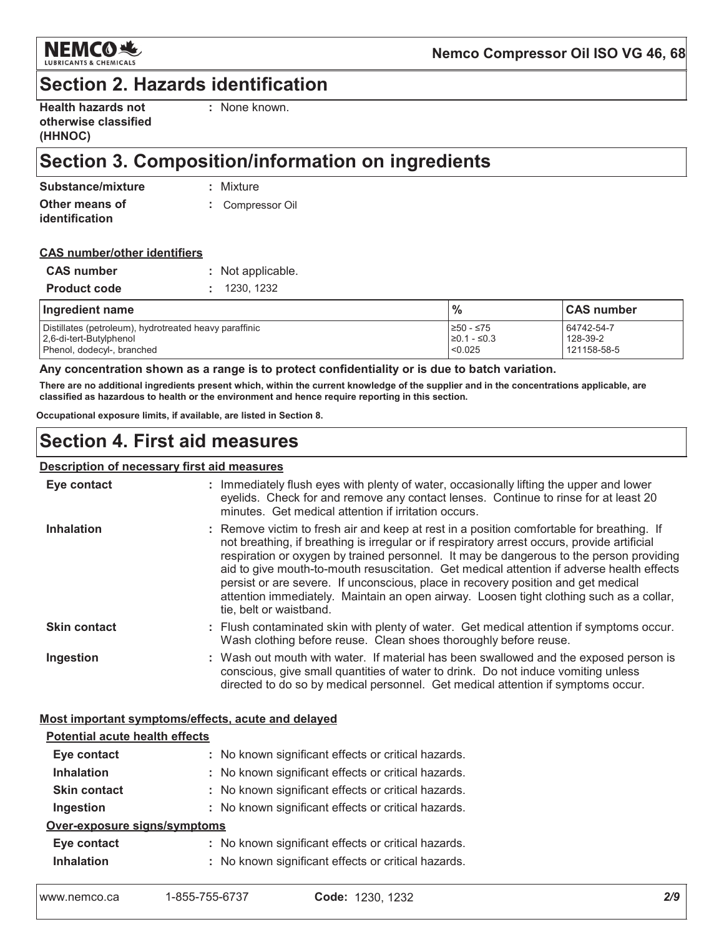

### **Section 2. Hazards identification**

| <b>Health hazards not</b> |  |
|---------------------------|--|
| otherwise classified      |  |
| (HHNOC)                   |  |

: None known.

## Section 3. Composition/information on ingredients

| Substance/mixture     | : Mixture        |
|-----------------------|------------------|
| Other means of        | : Compressor Oil |
| <b>identification</b> |                  |

#### **CAS number/other identifiers**

| <b>CAS number</b>   | : Not applicable. |
|---------------------|-------------------|
| <b>Product code</b> | : 1230.1232       |

| Ingredient name                                        | $\frac{0}{0}$ | <b>CAS number</b> |
|--------------------------------------------------------|---------------|-------------------|
| Distillates (petroleum), hydrotreated heavy paraffinic | ≥50 - ≤75     | 64742-54-7        |
| 2.6-di-tert-Butylphenol                                | $≥0.1 - ≤0.3$ | 128-39-2          |
| Phenol, dodecyl-, branched                             | < 0.025       | 121158-58-5       |

#### Any concentration shown as a range is to protect confidentiality or is due to batch variation.

There are no additional ingredients present which, within the current knowledge of the supplier and in the concentrations applicable, are classified as hazardous to health or the environment and hence require reporting in this section.

Occupational exposure limits, if available, are listed in Section 8.

### **Section 4. First aid measures**

#### Description of necessary first aid measures

| Eye contact         | : Immediately flush eyes with plenty of water, occasionally lifting the upper and lower<br>eyelids. Check for and remove any contact lenses. Continue to rinse for at least 20<br>minutes. Get medical attention if irritation occurs.                                                                                                                                                                                                                                                                                                                                                       |
|---------------------|----------------------------------------------------------------------------------------------------------------------------------------------------------------------------------------------------------------------------------------------------------------------------------------------------------------------------------------------------------------------------------------------------------------------------------------------------------------------------------------------------------------------------------------------------------------------------------------------|
| <b>Inhalation</b>   | : Remove victim to fresh air and keep at rest in a position comfortable for breathing. If<br>not breathing, if breathing is irregular or if respiratory arrest occurs, provide artificial<br>respiration or oxygen by trained personnel. It may be dangerous to the person providing<br>aid to give mouth-to-mouth resuscitation. Get medical attention if adverse health effects<br>persist or are severe. If unconscious, place in recovery position and get medical<br>attention immediately. Maintain an open airway. Loosen tight clothing such as a collar,<br>tie, belt or waistband. |
| <b>Skin contact</b> | : Flush contaminated skin with plenty of water. Get medical attention if symptoms occur.<br>Wash clothing before reuse. Clean shoes thoroughly before reuse.                                                                                                                                                                                                                                                                                                                                                                                                                                 |
| Ingestion           | : Wash out mouth with water. If material has been swallowed and the exposed person is<br>conscious, give small quantities of water to drink. Do not induce vomiting unless<br>directed to do so by medical personnel. Get medical attention if symptoms occur.                                                                                                                                                                                                                                                                                                                               |

#### Most important symptoms/effects, acute and delayed

| <b>Potential acute health effects</b> |                                                     |  |  |
|---------------------------------------|-----------------------------------------------------|--|--|
| Eye contact                           | : No known significant effects or critical hazards. |  |  |
| <b>Inhalation</b>                     | : No known significant effects or critical hazards. |  |  |
| <b>Skin contact</b>                   | : No known significant effects or critical hazards. |  |  |
| Ingestion                             | : No known significant effects or critical hazards. |  |  |
| Over-exposure signs/symptoms          |                                                     |  |  |
| Eye contact                           | : No known significant effects or critical hazards. |  |  |
| <b>Inhalation</b>                     | : No known significant effects or critical hazards. |  |  |
|                                       |                                                     |  |  |

| 1-855-755-6737<br>www.nemco.ca | Code: 1230, 1232 |
|--------------------------------|------------------|
|--------------------------------|------------------|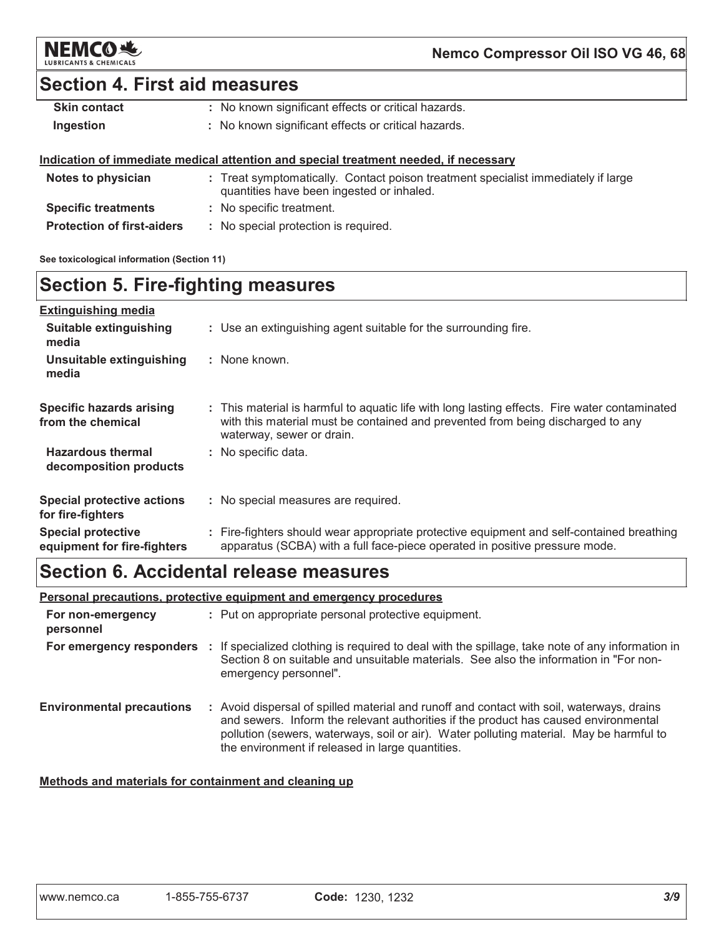

### **Section 4. First aid measures**

| <b>Skin contact</b> | : No known significant effects or critical hazards. |
|---------------------|-----------------------------------------------------|
| Ingestion           | : No known significant effects or critical hazards. |

#### Indication of immediate medical attention and special treatment needed, if necessary

| Notes to physician                | : Treat symptomatically. Contact poison treatment specialist immediately if large<br>quantities have been ingested or inhaled. |
|-----------------------------------|--------------------------------------------------------------------------------------------------------------------------------|
| <b>Specific treatments</b>        | : No specific treatment.                                                                                                       |
| <b>Protection of first-aiders</b> | : No special protection is required.                                                                                           |

See toxicological information (Section 11)

### **Section 5. Fire-fighting measures**

| <b>Extinguishing media</b>                               |                                                                                                                                                                                                               |
|----------------------------------------------------------|---------------------------------------------------------------------------------------------------------------------------------------------------------------------------------------------------------------|
| Suitable extinguishing<br>media                          | : Use an extinguishing agent suitable for the surrounding fire.                                                                                                                                               |
| Unsuitable extinguishing<br>media                        | : None known.                                                                                                                                                                                                 |
| Specific hazards arising<br>from the chemical            | : This material is harmful to aguatic life with long lasting effects. Fire water contaminated<br>with this material must be contained and prevented from being discharged to any<br>waterway, sewer or drain. |
| <b>Hazardous thermal</b><br>decomposition products       | : No specific data.                                                                                                                                                                                           |
| <b>Special protective actions</b><br>for fire-fighters   | : No special measures are required.                                                                                                                                                                           |
| <b>Special protective</b><br>equipment for fire-fighters | : Fire-fighters should wear appropriate protective equipment and self-contained breathing<br>apparatus (SCBA) with a full face-piece operated in positive pressure mode.                                      |

### Section 6. Accidental release measures

### Personal precautions, protective equipment and emergency procedures

| For non-emergency<br>personnel   | : Put on appropriate personal protective equipment.                                                                                                                                                                                                                                                                             |
|----------------------------------|---------------------------------------------------------------------------------------------------------------------------------------------------------------------------------------------------------------------------------------------------------------------------------------------------------------------------------|
|                                  | For emergency responders : If specialized clothing is required to deal with the spillage, take note of any information in<br>Section 8 on suitable and unsuitable materials. See also the information in "For non-<br>emergency personnel".                                                                                     |
| <b>Environmental precautions</b> | : Avoid dispersal of spilled material and runoff and contact with soil, waterways, drains<br>and sewers. Inform the relevant authorities if the product has caused environmental<br>pollution (sewers, waterways, soil or air). Water polluting material. May be harmful to<br>the environment if released in large quantities. |

### Methods and materials for containment and cleaning up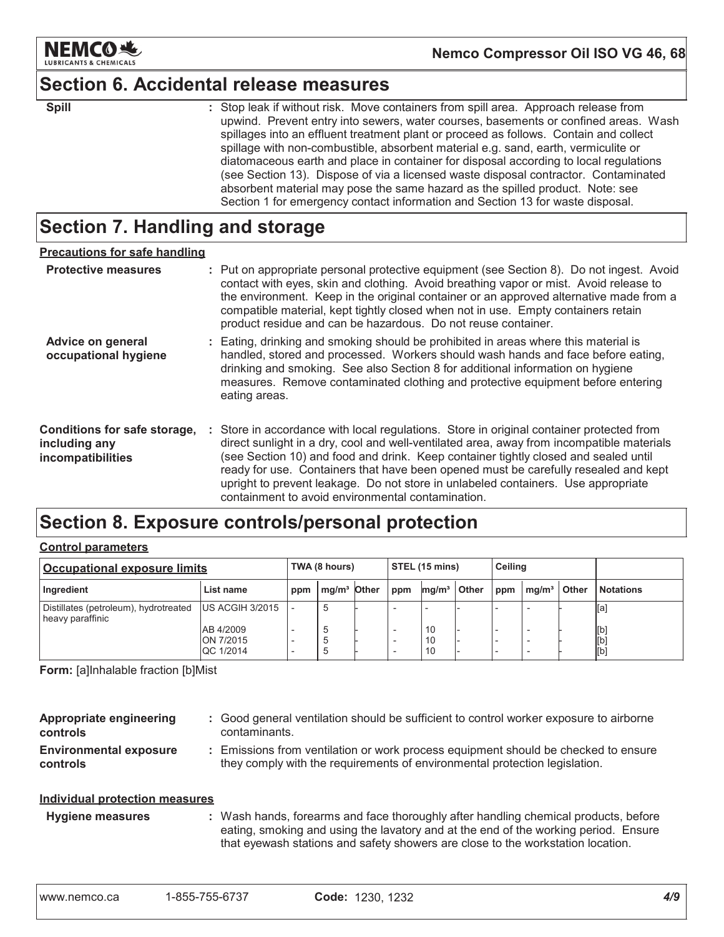

### **Section 6. Accidental release measures**

| ×<br>I<br>۰.<br>., | ۰. |  |  |
|--------------------|----|--|--|

: Stop leak if without risk. Move containers from spill area. Approach release from upwind. Prevent entry into sewers, water courses, basements or confined areas. Wash spillages into an effluent treatment plant or proceed as follows. Contain and collect spillage with non-combustible, absorbent material e.g. sand, earth, vermiculite or diatomaceous earth and place in container for disposal according to local regulations (see Section 13). Dispose of via a licensed waste disposal contractor. Contaminated absorbent material may pose the same hazard as the spilled product. Note: see Section 1 for emergency contact information and Section 13 for waste disposal.

### Section 7. Handling and storage

| <b>Precautions for safe handling</b>                               |                                                                                                                                                                                                                                                                                                                                                                                                                                                                                                               |
|--------------------------------------------------------------------|---------------------------------------------------------------------------------------------------------------------------------------------------------------------------------------------------------------------------------------------------------------------------------------------------------------------------------------------------------------------------------------------------------------------------------------------------------------------------------------------------------------|
| <b>Protective measures</b>                                         | : Put on appropriate personal protective equipment (see Section 8). Do not ingest. Avoid<br>contact with eyes, skin and clothing. Avoid breathing vapor or mist. Avoid release to<br>the environment. Keep in the original container or an approved alternative made from a<br>compatible material, kept tightly closed when not in use. Empty containers retain<br>product residue and can be hazardous. Do not reuse container.                                                                             |
| Advice on general<br>occupational hygiene                          | : Eating, drinking and smoking should be prohibited in areas where this material is<br>handled, stored and processed. Workers should wash hands and face before eating,<br>drinking and smoking. See also Section 8 for additional information on hygiene<br>measures. Remove contaminated clothing and protective equipment before entering<br>eating areas.                                                                                                                                                 |
| Conditions for safe storage,<br>including any<br>incompatibilities | : Store in accordance with local regulations. Store in original container protected from<br>direct sunlight in a dry, cool and well-ventilated area, away from incompatible materials<br>(see Section 10) and food and drink. Keep container tightly closed and sealed until<br>ready for use. Containers that have been opened must be carefully resealed and kept<br>upright to prevent leakage. Do not store in unlabeled containers. Use appropriate<br>containment to avoid environmental contamination. |

### Section 8. Exposure controls/personal protection

#### **Control parameters**

| Occupational exposure limits                              |                                     | TWA (8 hours) |                         | STEL (15 mins) |         | <b>Ceiling</b>    |              |     |                   |       |                   |
|-----------------------------------------------------------|-------------------------------------|---------------|-------------------------|----------------|---------|-------------------|--------------|-----|-------------------|-------|-------------------|
| Ingredient                                                | List name                           | ppm           | mg/m <sup>3</sup> Other |                | $1$ ppm | mq/m <sup>3</sup> | <b>Other</b> | ppm | mq/m <sup>3</sup> | Other | <b>Notations</b>  |
| Distillates (petroleum), hydrotreated<br>heavy paraffinic | <b>US ACGIH 3/2015</b>              |               | .5                      |                |         |                   |              |     |                   |       | [a]               |
|                                                           | AB 4/2009<br>ON 7/2015<br>QC 1/2014 |               |                         |                |         | 10<br>10<br>10    |              |     |                   |       | [b]<br>[b]<br>[b] |

Form: [a]Inhalable fraction [b]Mist

| Appropriate engineering<br><b>controls</b>       | : Good general ventilation should be sufficient to control worker exposure to airborne<br>contaminants.                                                        |
|--------------------------------------------------|----------------------------------------------------------------------------------------------------------------------------------------------------------------|
| <b>Environmental exposure</b><br><b>controls</b> | Emissions from ventilation or work process equipment should be checked to ensure<br>they comply with the requirements of environmental protection legislation. |
| Individual protection measures                   |                                                                                                                                                                |

#### : Wash hands, forearms and face thoroughly after handling chemical products, before **Hygiene measures** eating, smoking and using the lavatory and at the end of the working period. Ensure that eyewash stations and safety showers are close to the workstation location.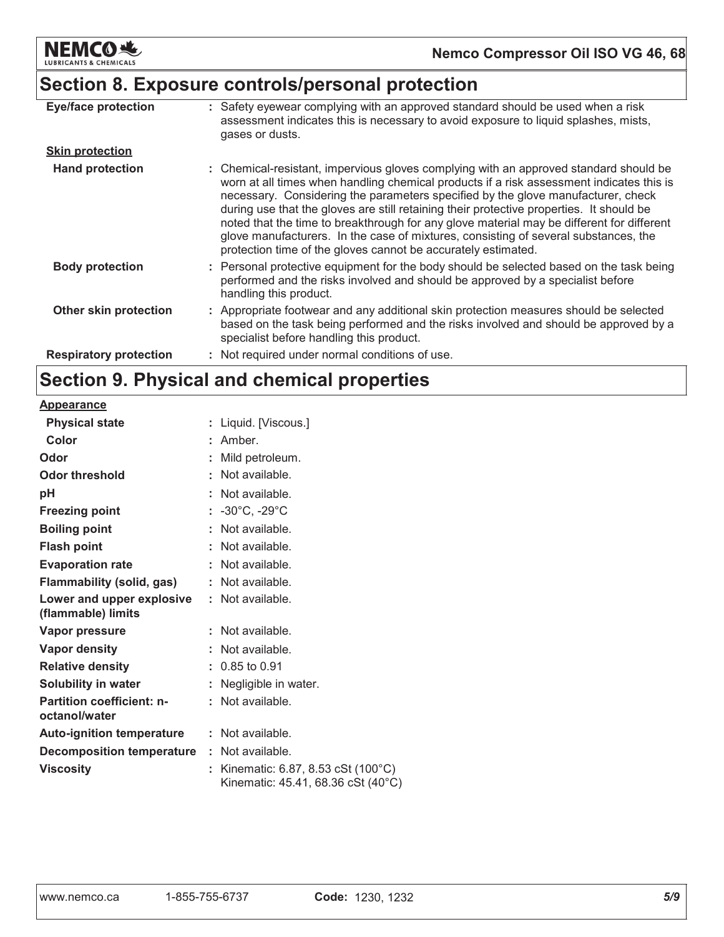

### Section 8. Exposure controls/personal protection

| <b>Eye/face protection</b>    | : Safety eyewear complying with an approved standard should be used when a risk<br>assessment indicates this is necessary to avoid exposure to liquid splashes, mists,<br>gases or dusts.                                                                                                                                                                                                                                                                                                                                                                                                                              |
|-------------------------------|------------------------------------------------------------------------------------------------------------------------------------------------------------------------------------------------------------------------------------------------------------------------------------------------------------------------------------------------------------------------------------------------------------------------------------------------------------------------------------------------------------------------------------------------------------------------------------------------------------------------|
| <b>Skin protection</b>        |                                                                                                                                                                                                                                                                                                                                                                                                                                                                                                                                                                                                                        |
| <b>Hand protection</b>        | : Chemical-resistant, impervious gloves complying with an approved standard should be<br>worn at all times when handling chemical products if a risk assessment indicates this is<br>necessary. Considering the parameters specified by the glove manufacturer, check<br>during use that the gloves are still retaining their protective properties. It should be<br>noted that the time to breakthrough for any glove material may be different for different<br>glove manufacturers. In the case of mixtures, consisting of several substances, the<br>protection time of the gloves cannot be accurately estimated. |
| <b>Body protection</b>        | : Personal protective equipment for the body should be selected based on the task being<br>performed and the risks involved and should be approved by a specialist before<br>handling this product.                                                                                                                                                                                                                                                                                                                                                                                                                    |
| <b>Other skin protection</b>  | : Appropriate footwear and any additional skin protection measures should be selected<br>based on the task being performed and the risks involved and should be approved by a<br>specialist before handling this product.                                                                                                                                                                                                                                                                                                                                                                                              |
| <b>Respiratory protection</b> | : Not required under normal conditions of use.                                                                                                                                                                                                                                                                                                                                                                                                                                                                                                                                                                         |

### Section 9. Physical and chemical properties

| <b>Appearance</b>                                 |    |                                                                         |
|---------------------------------------------------|----|-------------------------------------------------------------------------|
| <b>Physical state</b>                             |    | : Liquid. [Viscous.]                                                    |
| Color                                             |    | : Amber                                                                 |
| Odor                                              |    | Mild petroleum.                                                         |
| <b>Odor threshold</b>                             |    | Not available.                                                          |
| pH                                                |    | Not available.                                                          |
| <b>Freezing point</b>                             |    | : $-30^{\circ}$ C, $-29^{\circ}$ C                                      |
| <b>Boiling point</b>                              |    | Not available.                                                          |
| <b>Flash point</b>                                |    | $:$ Not available.                                                      |
| <b>Evaporation rate</b>                           |    | Not available.                                                          |
| Flammability (solid, gas)                         |    | $:$ Not available.                                                      |
| Lower and upper explosive<br>(flammable) limits   | t. | Not available.                                                          |
| <b>Vapor pressure</b>                             |    | Not available.                                                          |
| <b>Vapor density</b>                              |    | Not available.                                                          |
| <b>Relative density</b>                           |    | $: 0.85$ to 0.91                                                        |
| <b>Solubility in water</b>                        |    | Negligible in water.                                                    |
| <b>Partition coefficient: n-</b><br>octanol/water |    | Not available.                                                          |
| <b>Auto-ignition temperature</b>                  |    | $:$ Not available.                                                      |
| <b>Decomposition temperature</b>                  | ÷. | Not available.                                                          |
| <b>Viscosity</b>                                  |    | Kinematic: 6.87, 8.53 cSt (100°C)<br>Kinematic: 45.41, 68.36 cSt (40°C) |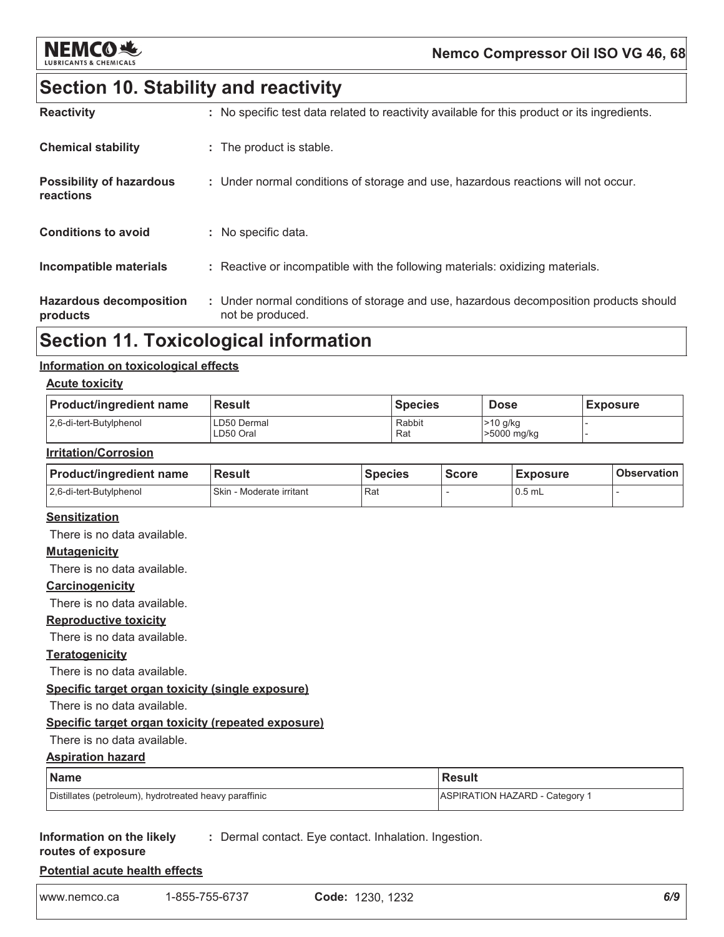

### Nemco Compressor Oil ISO VG 46, 68

### **Section 10. Stability and reactivity**

| <b>Reactivity</b>                            | : No specific test data related to reactivity available for this product or its ingredients.              |
|----------------------------------------------|-----------------------------------------------------------------------------------------------------------|
| <b>Chemical stability</b>                    | : The product is stable.                                                                                  |
| <b>Possibility of hazardous</b><br>reactions | : Under normal conditions of storage and use, hazardous reactions will not occur.                         |
| <b>Conditions to avoid</b>                   | : No specific data.                                                                                       |
| Incompatible materials                       | : Reactive or incompatible with the following materials: oxidizing materials.                             |
| <b>Hazardous decomposition</b><br>products   | : Under normal conditions of storage and use, hazardous decomposition products should<br>not be produced. |

### **Section 11. Toxicological information**

#### Information on toxicological effects

#### **Acute toxicity**

| <b>Product/ingredient name</b> | <b>Result</b>            | <b>Species</b> | <b>Dose</b>               | <b>Exposure</b> |
|--------------------------------|--------------------------|----------------|---------------------------|-----------------|
| 2.6-di-tert-Butylphenol        | LD50 Dermal<br>LD50 Oral | Rabbit<br>Rat  | $>10$ g/kg<br>>5000 mg/kg |                 |

#### **Irritation/Corrosion**

| <b>Product/ingredient name</b> | <b>Result</b>                | <b>Species</b> | <b>Score</b> | <b>Exposure</b> | <b>Observation</b> |
|--------------------------------|------------------------------|----------------|--------------|-----------------|--------------------|
| 2.6-di-tert-Butylphenol        | Skin<br>⊢- Moderate irritant | Rat            |              | $0.5$ mL        |                    |

#### **Sensitization**

There is no data available.

#### **Mutagenicity**

There is no data available.

#### Carcinogenicity

There is no data available.

#### **Reproductive toxicity**

There is no data available.

#### **Teratogenicity**

There is no data available.

#### Specific target organ toxicity (single exposure)

There is no data available.

#### Specific target organ toxicity (repeated exposure)

#### There is no data available.

**Aspiration hazard** 

#### **Name Result ASPIRATION HAZARD - Category 1** Distillates (petroleum), hydrotreated heavy paraffinic

#### Information on the likely : Dermal contact. Eye contact. Inhalation. Ingestion.

### routes of exposure

|  | <b>Potential acute health effects</b> |  |  |  |
|--|---------------------------------------|--|--|--|
|--|---------------------------------------|--|--|--|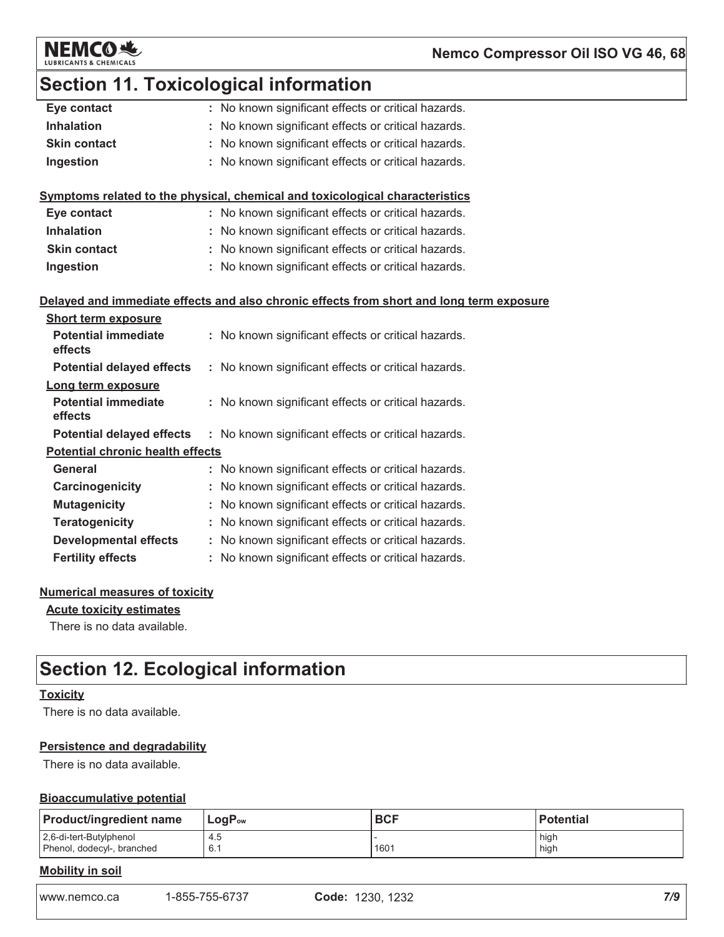

### **Section 11. Toxicological information**

| Eye contact                             |    | : No known significant effects or critical hazards.                                      |  |
|-----------------------------------------|----|------------------------------------------------------------------------------------------|--|
| <b>Inhalation</b>                       |    | No known significant effects or critical hazards.                                        |  |
| <b>Skin contact</b>                     | t. | No known significant effects or critical hazards.                                        |  |
| Ingestion                               | t. | No known significant effects or critical hazards.                                        |  |
|                                         |    |                                                                                          |  |
|                                         |    | Symptoms related to the physical, chemical and toxicological characteristics             |  |
| Eye contact                             |    | : No known significant effects or critical hazards.                                      |  |
| <b>Inhalation</b>                       |    | : No known significant effects or critical hazards.                                      |  |
| <b>Skin contact</b>                     |    | : No known significant effects or critical hazards.                                      |  |
| Ingestion                               |    | : No known significant effects or critical hazards.                                      |  |
|                                         |    |                                                                                          |  |
|                                         |    | Delayed and immediate effects and also chronic effects from short and long term exposure |  |
| <b>Short term exposure</b>              |    |                                                                                          |  |
| <b>Potential immediate</b><br>effects   |    | : No known significant effects or critical hazards.                                      |  |
| <b>Potential delayed effects</b>        |    | : No known significant effects or critical hazards.                                      |  |
| Long term exposure                      |    |                                                                                          |  |
| <b>Potential immediate</b>              |    | : No known significant effects or critical hazards.                                      |  |
| effects                                 |    |                                                                                          |  |
| <b>Potential delayed effects</b>        |    | : No known significant effects or critical hazards.                                      |  |
| <b>Potential chronic health effects</b> |    |                                                                                          |  |
| <b>General</b>                          |    | : No known significant effects or critical hazards.                                      |  |
| Carcinogenicity                         |    | No known significant effects or critical hazards.                                        |  |
| <b>Mutagenicity</b>                     |    | No known significant effects or critical hazards.                                        |  |
| <b>Teratogenicity</b>                   |    | : No known significant effects or critical hazards.                                      |  |
| <b>Developmental effects</b>            |    | : No known significant effects or critical hazards.                                      |  |
| <b>Fertility effects</b>                |    | No known significant effects or critical hazards.                                        |  |
|                                         |    |                                                                                          |  |

### **Numerical measures of toxicity**

#### **Acute toxicity estimates**

There is no data available.

## **Section 12. Ecological information**

#### **Toxicity**

There is no data available.

#### **Persistence and degradability**

There is no data available.

#### **Bioaccumulative potential**

| <b>Product/ingredient name</b> | $LogP_{ow}$ | <b>BCF</b> | <b>Potential</b> |
|--------------------------------|-------------|------------|------------------|
| 2,6-di-tert-Butylphenol        | 4.5         | 1601       | high             |
| Phenol, dodecyl-, branched     | 6.1         |            | high             |

### **Mobility in soil**

www.nemco.ca 1-855-755-6737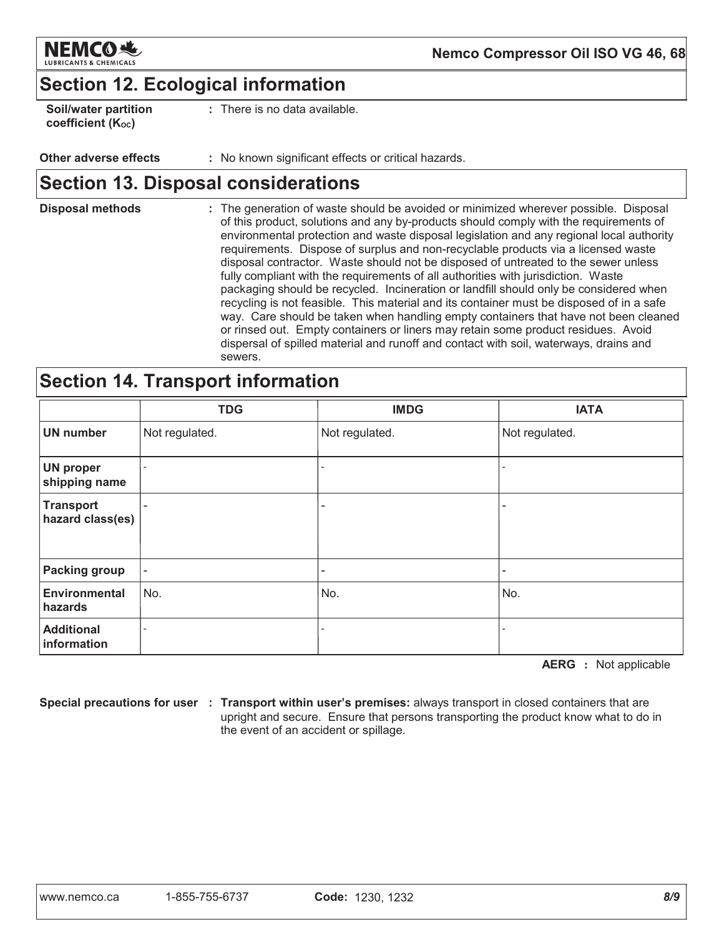

### **Section 12. Ecological information**

| <b>Soil/water partition</b> |  |
|-----------------------------|--|
| coefficient (Koc)           |  |

There is no data available.

#### Other adverse effects : No known significant effects or critical hazards.

### **Section 13. Disposal considerations**

**Disposal methods** : The generation of waste should be avoided or minimized wherever possible. Disposal of this product, solutions and any by-products should comply with the requirements of environmental protection and waste disposal legislation and any regional local authority requirements. Dispose of surplus and non-recyclable products via a licensed waste disposal contractor. Waste should not be disposed of untreated to the sewer unless fully compliant with the requirements of all authorities with jurisdiction. Waste packaging should be recycled. Incineration or landfill should only be considered when recycling is not feasible. This material and its container must be disposed of in a safe way. Care should be taken when handling empty containers that have not been cleaned or rinsed out. Empty containers or liners may retain some product residues. Avoid dispersal of spilled material and runoff and contact with soil, waterways, drains and sewers.

### **Section 14. Transport information**

|                                      | <b>TDG</b>               | <b>IMDG</b>       | <b>IATA</b>    |
|--------------------------------------|--------------------------|-------------------|----------------|
| <b>UN number</b>                     | Not regulated.           | Not regulated.    | Not regulated. |
| <b>UN proper</b><br>shipping name    | $\overline{\phantom{a}}$ | $\qquad \qquad -$ |                |
| <b>Transport</b><br>hazard class(es) | $\overline{\phantom{a}}$ | ۰                 |                |
| <b>Packing group</b>                 | $\overline{\phantom{a}}$ | -                 |                |
| <b>Environmental</b><br>hazards      | No.                      | No.               | No.            |
| <b>Additional</b><br>information     |                          |                   |                |

**AERG** : Not applicable

Special precautions for user : Transport within user's premises: always transport in closed containers that are upright and secure. Ensure that persons transporting the product know what to do in the event of an accident or spillage.